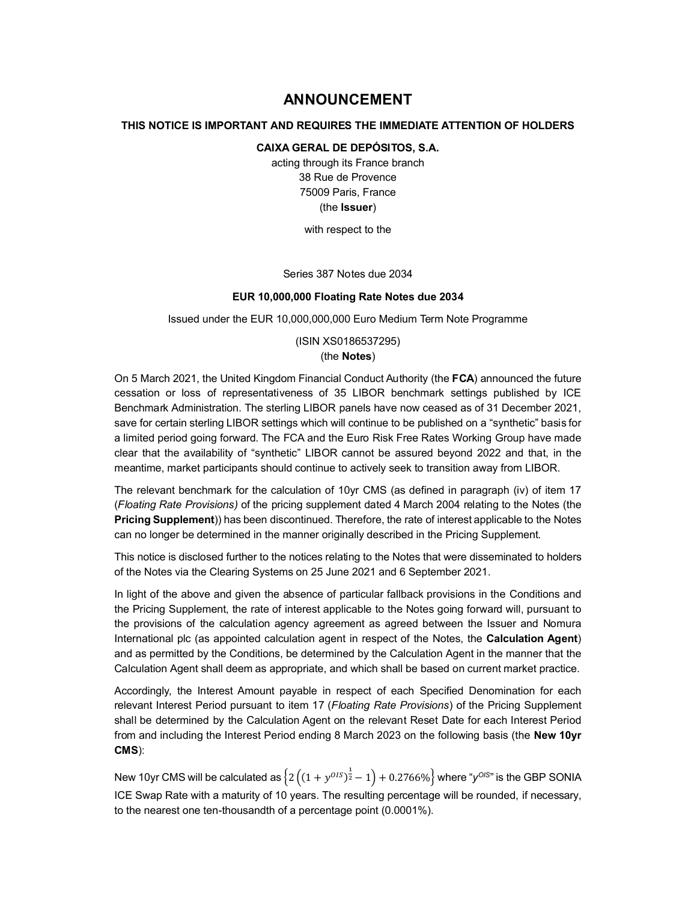# **ANNOUNCEMENT**

## **THIS NOTICE IS IMPORTANT AND REQUIRES THE IMMEDIATE ATTENTION OF HOLDERS**

### **CAIXA GERAL DE DEPÓSITOS, S.A.**

acting through its France branch 38 Rue de Provence 75009 Paris, France (the **Issuer**)

with respect to the

Series 387 Notes due 2034

#### **EUR 10,000,000 Floating Rate Notes due 2034**

Issued under the EUR 10,000,000,000 Euro Medium Term Note Programme

(ISIN XS0186537295)

## (the **Notes**)

On 5 March 2021, the United Kingdom Financial Conduct Authority (the **FCA**) announced the future cessation or loss of representativeness of 35 LIBOR benchmark settings published by ICE Benchmark Administration. The sterling LIBOR panels have now ceased as of 31 December 2021, save for certain sterling LIBOR settings which will continue to be published on a "synthetic" basis for a limited period going forward. The FCA and the Euro Risk Free Rates Working Group have made clear that the availability of "synthetic" LIBOR cannot be assured beyond 2022 and that, in the meantime, market participants should continue to actively seek to transition away from LIBOR.

The relevant benchmark for the calculation of 10yr CMS (as defined in paragraph (iv) of item 17 (*Floating Rate Provisions)* of the pricing supplement dated 4 March 2004 relating to the Notes (the **Pricing Supplement**)) has been discontinued. Therefore, the rate of interest applicable to the Notes can no longer be determined in the manner originally described in the Pricing Supplement.

This notice is disclosed further to the notices relating to the Notes that were disseminated to holders of the Notes via the Clearing Systems on 25 June 2021 and 6 September 2021.

In light of the above and given the absence of particular fallback provisions in the Conditions and the Pricing Supplement, the rate of interest applicable to the Notes going forward will, pursuant to the provisions of the calculation agency agreement as agreed between the Issuer and Nomura International plc (as appointed calculation agent in respect of the Notes, the **Calculation Agent**) and as permitted by the Conditions, be determined by the Calculation Agent in the manner that the Calculation Agent shall deem as appropriate, and which shall be based on current market practice.

Accordingly, the Interest Amount payable in respect of each Specified Denomination for each relevant Interest Period pursuant to item 17 (*Floating Rate Provisions*) of the Pricing Supplement shall be determined by the Calculation Agent on the relevant Reset Date for each Interest Period from and including the Interest Period ending 8 March 2023 on the following basis (the **New 10yr CMS**):

New 10yr CMS will be calculated as  $\left\{2\left((1+y^{0IS})^{\frac{1}{2}}-1\right)+0.2766\%\right\}$  where "y<sup>OIS</sup>" is the GBP SONIA ICE Swap Rate with a maturity of 10 years. The resulting percentage will be rounded, if necessary, to the nearest one ten-thousandth of a percentage point (0.0001%).